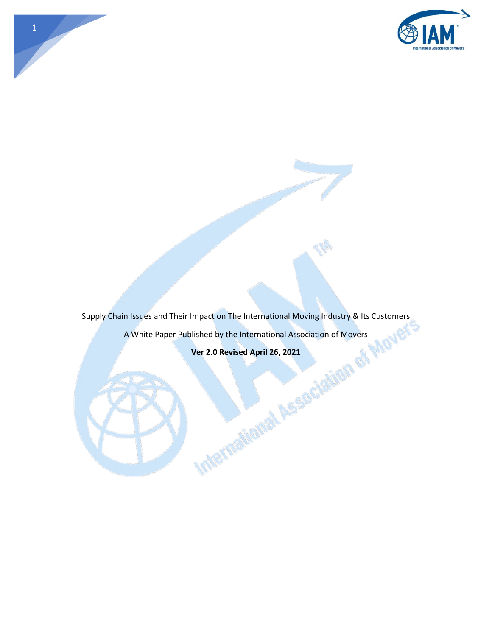

Supply Chain Issues and Their Impact on The International Moving Industry & Its Customers Vertex Covers Justomers

1

A White Paper Published by the International Association of Movers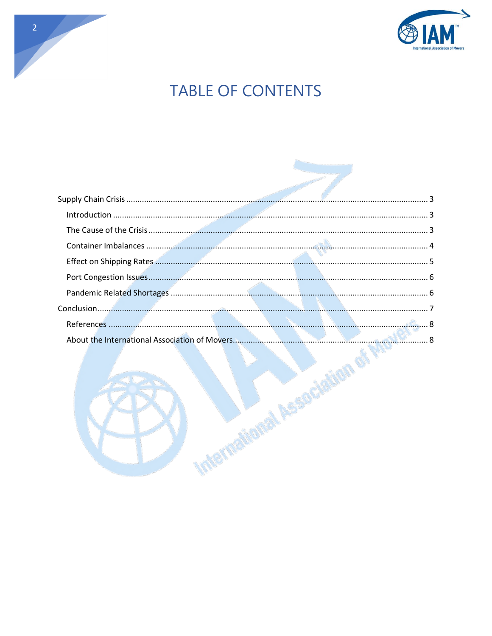

# **TABLE OF CONTENTS**

| <b>Required Manufacture 15-11-11 Property</b> |
|-----------------------------------------------|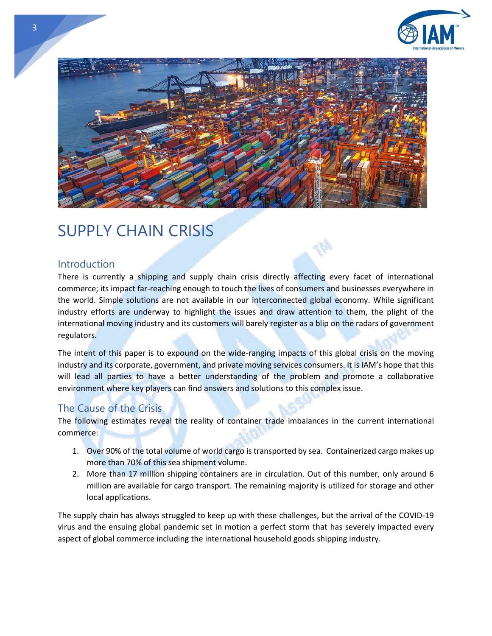



## <span id="page-2-0"></span>SUPPLY CHAIN CRISIS

#### <span id="page-2-1"></span>Introduction

There is currently a shipping and supply chain crisis directly affecting every facet of international commerce; its impact far-reaching enough to touch the lives of consumers and businesses everywhere in the world. Simple solutions are not available in our interconnected global economy. While significant industry efforts are underway to highlight the issues and draw attention to them, the plight of the international moving industry and its customers will barely register as a blip on the radars of government regulators.

The intent of this paper is to expound on the wide-ranging impacts of this global crisis on the moving industry and its corporate, government, and private moving services consumers. It is IAM's hope that this will lead all parties to have a better understanding of the problem and promote a collaborative environment where key players can find answers and solutions to this complex issue.

#### <span id="page-2-2"></span>The Cause of the Crisis

The following estimates reveal the reality of container trade imbalances in the current international commerce:

- 1. Over 90% of the total volume of world cargo is transported by sea. Containerized cargo makes up more than 70% of this sea shipment volume.
- 2. More than 17 million shipping containers are in circulation. Out of this number, only around 6 million are available for cargo transport. The remaining majority is utilized for storage and other local applications.

The supply chain has always struggled to keep up with these challenges, but the arrival of the COVID-19 virus and the ensuing global pandemic set in motion a perfect storm that has severely impacted every aspect of global commerce including the international household goods shipping industry.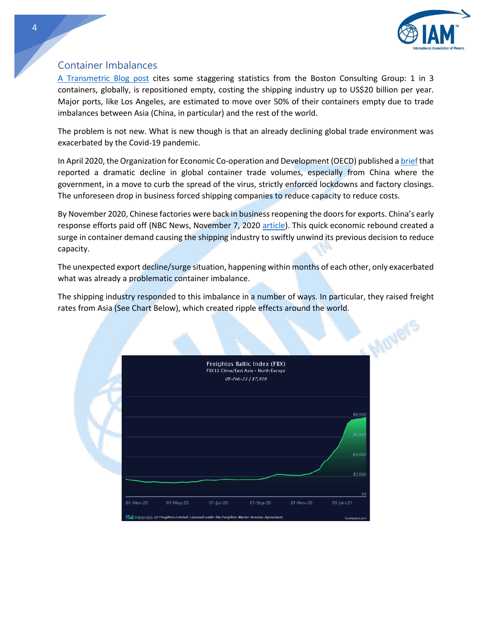

#### <span id="page-3-0"></span>Container Imbalances

[A Transmetric Blog post](https://transmetrics.eu/blog/how-to-solve-empty-container-repositioning-problem-with-technologies/#:~:text=Every%201%20in%203%20containers,still%20suffers%20from%20huge%20inefficiencies.) cites some staggering statistics from the Boston Consulting Group: 1 in 3 containers, globally, is repositioned empty, costing the shipping industry up to US\$20 billion per year. Major ports, like Los Angeles, are estimated to move over 50% of their containers empty due to trade imbalances between Asia (China, in particular) and the rest of the world.

The problem is not new. What is new though is that an already declining global trade environment was exacerbated by the Covid-19 pandemic.

In April 2020, the Organization for Economic Co-operation and Development (OECD) published [a brief](https://read.oecd-ilibrary.org/view/?ref=132_132943-daeq3o7rjc&title=Global-Container-Shipping-and-the-Coronavirus-Crisis) that reported a dramatic decline in global container trade volumes, especially from China where the government, in a move to curb the spread of the virus, strictly enforced lockdowns and factory closings. The unforeseen drop in business forced shipping companies to reduce capacity to reduce costs.

By November 2020, Chinese factories were back in business reopening the doors for exports. China's early response efforts paid off (NBC News, November 7, 2020 [article\)](https://www.nbcnews.com/news/world/covid-19-runs-riot-across-world-china-controls-pandemic-n1246587). This quick economic rebound created a surge in container demand causing the shipping industry to swiftly unwind its previous decision to reduce capacity.

The unexpected export decline/surge situation, happening within months of each other, only exacerbated what was already a problematic container imbalance.

The shipping industry responded to this imbalance in a number of ways. In particular, they raised freight rates from Asia (See Chart Below), which created ripple effects around the world.

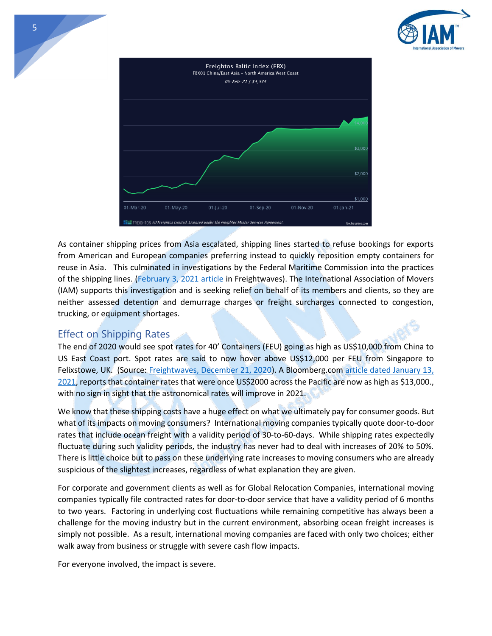



As container shipping prices from Asia escalated, shipping lines started to refuse bookings for exports from American and European companies preferring instead to quickly reposition empty containers for reuse in Asia. This culminated in investigations by the Federal Maritime Commission into the practices of the shipping lines. [\(February 3, 2021 article](https://www.freightwaves.com/news/war-of-words-escalates-as-exporters-scramble-for-scarce-containers) in Freightwaves). The International Association of Movers (IAM) supports this investigation and is seeking relief on behalf of its members and clients, so they are neither assessed detention and demurrage charges or freight surcharges connected to congestion, trucking, or equipment shortages.

### <span id="page-4-0"></span>Effect on Shipping Rates

The end of 2020 would see spot rates for 40' Containers (FEU) going as high as US\$10,000 from China to US East Coast port. Spot rates are said to now hover above US\$12,000 per FEU from Singapore to Felixstowe, UK. (Source: [Freightwaves, December 21, 2020\)](https://www.freightwaves.com/news/container-shipping-2021-hangover-or-party-on). A Bloomberg.co[m article dated January 13,](https://www.bloomberg.com/news/articles/2021-01-13/world-economy-s-fragile-rebound-boxed-in-amid-shipping-logjams)  [2021,](https://www.bloomberg.com/news/articles/2021-01-13/world-economy-s-fragile-rebound-boxed-in-amid-shipping-logjams) reports that container rates that were once US\$2000 across the Pacific are now as high as \$13,000., with no sign in sight that the astronomical rates will improve in 2021.

We know that these shipping costs have a huge effect on what we ultimately pay for consumer goods. But what of its impacts on moving consumers? International moving companies typically quote door-to-door rates that include ocean freight with a validity period of 30-to-60-days. While shipping rates expectedly fluctuate during such validity periods, the industry has never had to deal with increases of 20% to 50%. There is little choice but to pass on these underlying rate increases to moving consumers who are already suspicious of the slightest increases, regardless of what explanation they are given.

For corporate and government clients as well as for Global Relocation Companies, international moving companies typically file contracted rates for door-to-door service that have a validity period of 6 months to two years. Factoring in underlying cost fluctuations while remaining competitive has always been a challenge for the moving industry but in the current environment, absorbing ocean freight increases is simply not possible. As a result, international moving companies are faced with only two choices; either walk away from business or struggle with severe cash flow impacts.

For everyone involved, the impact is severe.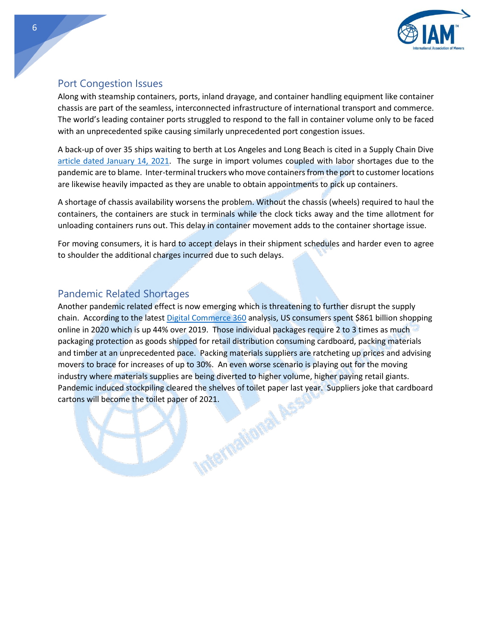

## <span id="page-5-0"></span>Port Congestion Issues

Along with steamship containers, ports, inland drayage, and container handling equipment like container chassis are part of the seamless, interconnected infrastructure of international transport and commerce. The world's leading container ports struggled to respond to the fall in container volume only to be faced with an unprecedented spike causing similarly unprecedented port congestion issues.

A back-up of over 35 ships waiting to berth at Los Angeles and Long Beach is cited in a Supply Chain Dive [article dated January 14, 2021.](https://www.supplychaindive.com/news/hapag-lloyd-port-west-coast-congestion-labor/593378/) The surge in import volumes coupled with labor shortages due to the pandemic are to blame. Inter-terminal truckers who move containers from the port to customer locations are likewise heavily impacted as they are unable to obtain appointments to pick up containers.

A shortage of chassis availability worsens the problem. Without the chassis (wheels) required to haul the containers, the containers are stuck in terminals while the clock ticks away and the time allotment for unloading containers runs out. This delay in container movement adds to the container shortage issue.

For moving consumers, it is hard to accept delays in their shipment schedules and harder even to agree to shoulder the additional charges incurred due to such delays.

## <span id="page-5-1"></span>Pandemic Related Shortages

Another pandemic related effect is now emerging which is threatening to further disrupt the supply chain. According to the lates[t Digital Commerce 360](https://www.digitalcommerce360.com/article/us-ecommerce-sales/) analysis, US consumers spent \$861 billion shopping online in 2020 which is up 44% over 2019. Those individual packages require 2 to 3 times as much packaging protection as goods shipped for retail distribution consuming cardboard, packing materials and timber at an unprecedented pace. Packing materials suppliers are ratcheting up prices and advising movers to brace for increases of up to 30%. An even worse scenario is playing out for the moving industry where materials supplies are being diverted to higher volume, higher paying retail giants. Pandemic induced stockpiling cleared the shelves of toilet paper last year. Suppliers joke that cardboard cartons will become the toilet paper of 2021. cartons will become the toilet paper of 2021.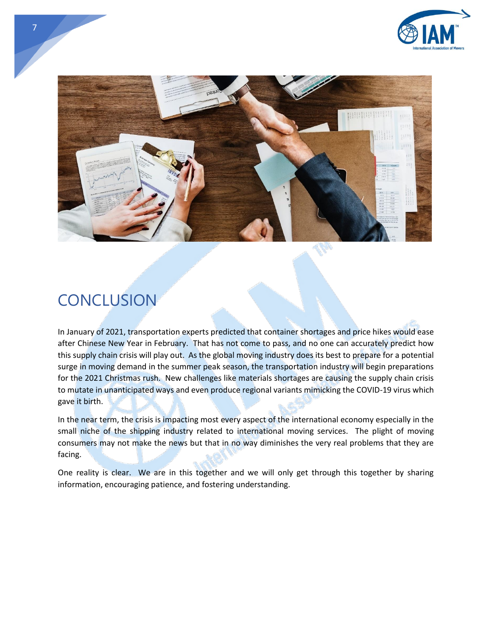



## <span id="page-6-0"></span>**CONCLUSION**

7

In January of 2021, transportation experts predicted that container shortages and price hikes would ease after Chinese New Year in February. That has not come to pass, and no one can accurately predict how this supply chain crisis will play out. As the global moving industry does its best to prepare for a potential surge in moving demand in the summer peak season, the transportation industry will begin preparations for the 2021 Christmas rush. New challenges like materials shortages are causing the supply chain crisis to mutate in unanticipated ways and even produce regional variants mimicking the COVID-19 virus which gave it birth.

In the near term, the crisis is impacting most every aspect of the international economy especially in the small niche of the shipping industry related to international moving services. The plight of moving consumers may not make the news but that in no way diminishes the very real problems that they are facing.

One reality is clear. We are in this together and we will only get through this together by sharing information, encouraging patience, and fostering understanding.